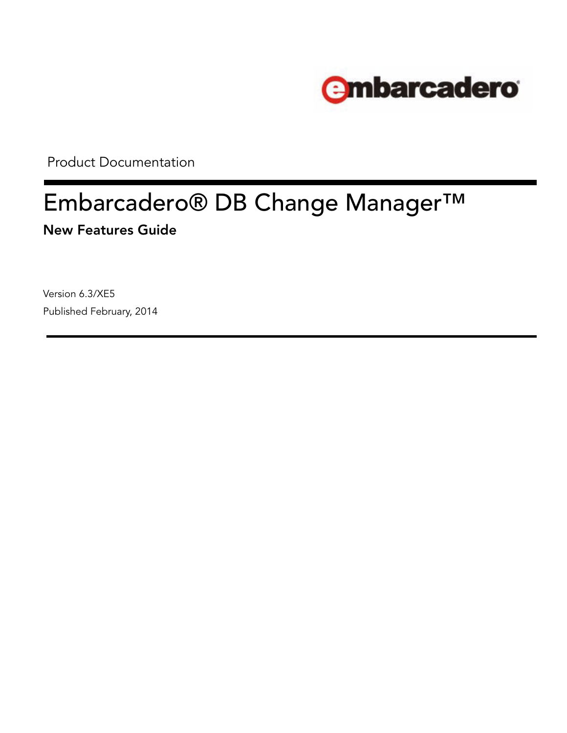

Product Documentation

# Embarcadero® DB Change Manager™ New Features Guide

Version 6.3/XE5 Published February, 2014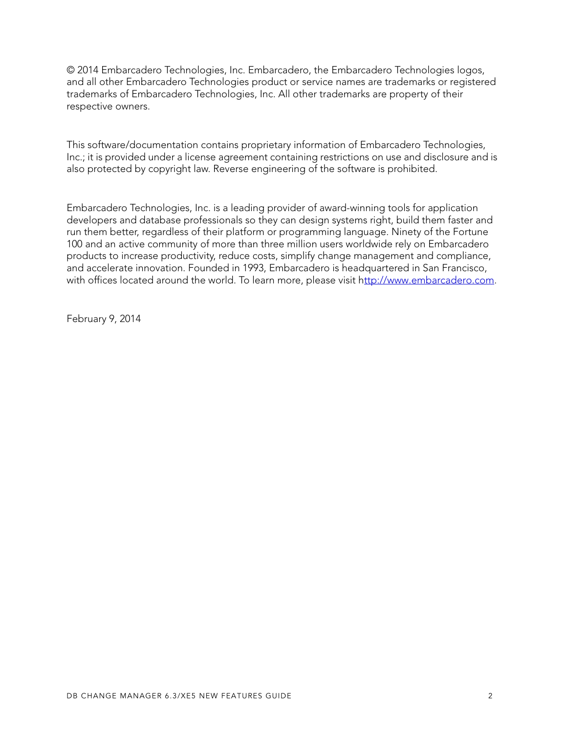© 2014 Embarcadero Technologies, Inc. Embarcadero, the Embarcadero Technologies logos, and all other Embarcadero Technologies product or service names are trademarks or registered trademarks of Embarcadero Technologies, Inc. All other trademarks are property of their respective owners.

This software/documentation contains proprietary information of Embarcadero Technologies, Inc.; it is provided under a license agreement containing restrictions on use and disclosure and is also protected by copyright law. Reverse engineering of the software is prohibited.

Embarcadero Technologies, Inc. is a leading provider of award-winning tools for application developers and database professionals so they can design systems right, build them faster and run them better, regardless of their platform or programming language. Ninety of the Fortune 100 and an active community of more than three million users worldwide rely on Embarcadero products to increase productivity, reduce costs, simplify change management and compliance, and accelerate innovation. Founded in 1993, Embarcadero is headquartered in San Francisco, with offices located around the world. To learn more, please visit [http://www.embarcadero.com.](http://www.embarcadero.com)

February 9, 2014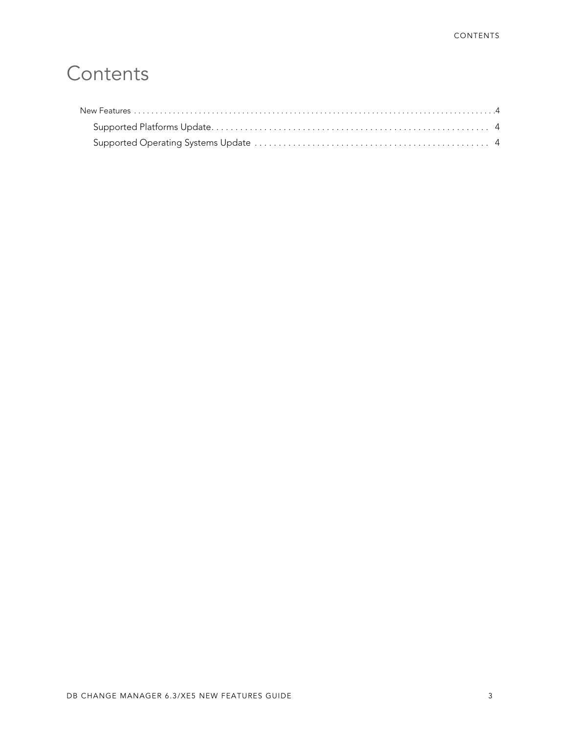## **Contents**